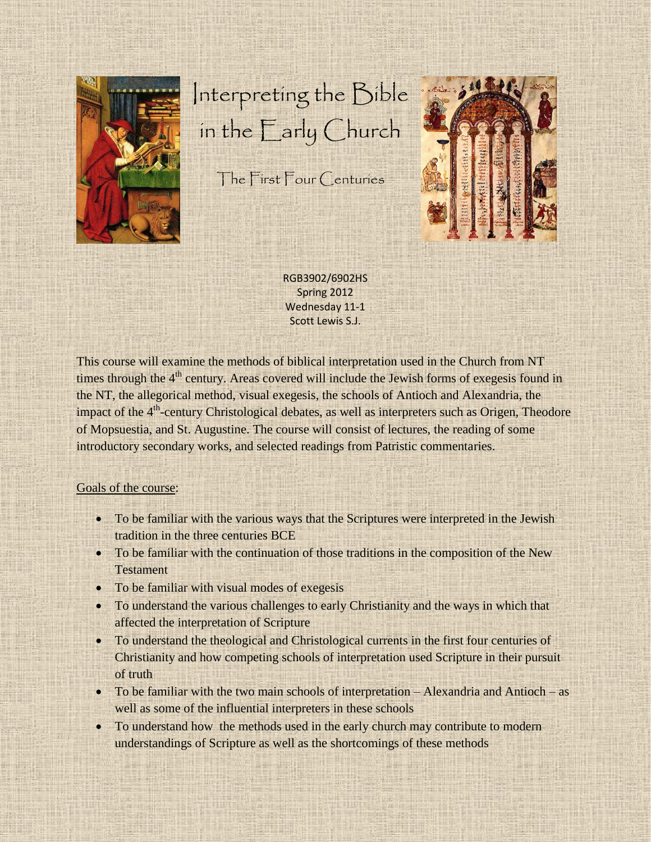

## Interpreting the Bible in the Early Church

The First Four Centuries



RGB3902/6902HS Spring 2012 Wednesday 11-1 Scott Lewis S.J.

This course will examine the methods of biblical interpretation used in the Church from NT times through the 4<sup>th</sup> century. Areas covered will include the Jewish forms of exegesis found in the NT, the allegorical method, visual exegesis, the schools of Antioch and Alexandria, the impact of the 4<sup>th</sup>-century Christological debates, as well as interpreters such as Origen, Theodore of Mopsuestia, and St. Augustine. The course will consist of lectures, the reading of some introductory secondary works, and selected readings from Patristic commentaries.

## Goals of the course:

- To be familiar with the various ways that the Scriptures were interpreted in the Jewish tradition in the three centuries BCE
- To be familiar with the continuation of those traditions in the composition of the New **Testament**
- To be familiar with visual modes of exegesis
- To understand the various challenges to early Christianity and the ways in which that affected the interpretation of Scripture
- To understand the theological and Christological currents in the first four centuries of Christianity and how competing schools of interpretation used Scripture in their pursuit of truth
- To be familiar with the two main schools of interpretation Alexandria and Antioch as well as some of the influential interpreters in these schools
- To understand how the methods used in the early church may contribute to modern understandings of Scripture as well as the shortcomings of these methods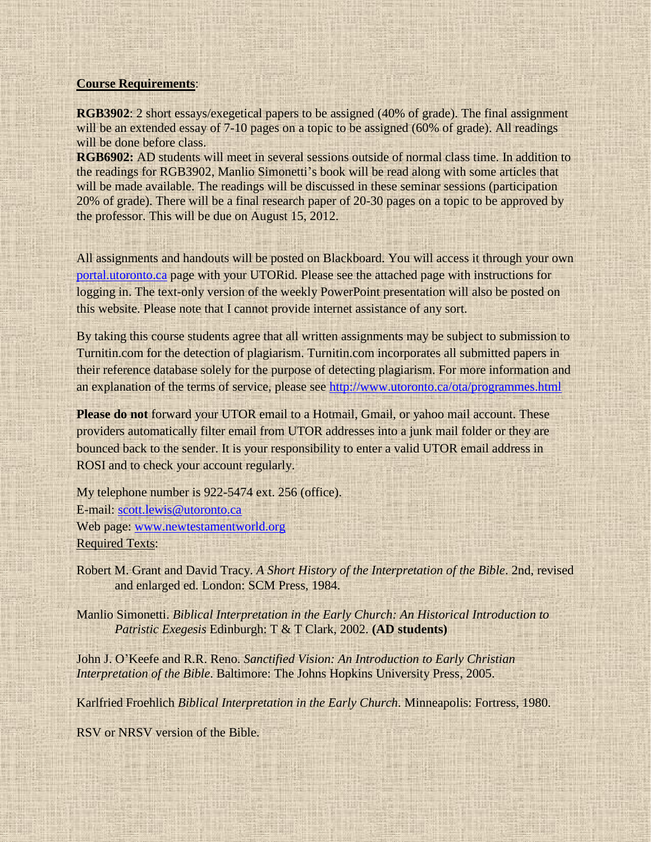## **Course Requirements**:

**RGB3902**: 2 short essays/exegetical papers to be assigned (40% of grade). The final assignment will be an extended essay of 7-10 pages on a topic to be assigned (60% of grade). All readings will be done before class.

**RGB6902:** AD students will meet in several sessions outside of normal class time. In addition to the readings for RGB3902, Manlio Simonetti's book will be read along with some articles that will be made available. The readings will be discussed in these seminar sessions (participation 20% of grade). There will be a final research paper of 20-30 pages on a topic to be approved by the professor. This will be due on August 15, 2012.

All assignments and handouts will be posted on Blackboard. You will access it through your own [portal.utoronto.ca](file:///J:/Documents/Bible%20and%20Violence/portal.utoronto.ca) page with your UTORid. Please see the attached page with instructions for logging in. The text-only version of the weekly PowerPoint presentation will also be posted on this website. Please note that I cannot provide internet assistance of any sort.

By taking this course students agree that all written assignments may be subject to submission to Turnitin.com for the detection of plagiarism. Turnitin.com incorporates all submitted papers in their reference database solely for the purpose of detecting plagiarism. For more information and an explanation of the terms of service, please see<http://www.utoronto.ca/ota/programmes.html>

**Please do not** forward your UTOR email to a Hotmail, Gmail, or yahoo mail account. These providers automatically filter email from UTOR addresses into a junk mail folder or they are bounced back to the sender. It is your responsibility to enter a valid UTOR email address in ROSI and to check your account regularly.

My telephone number is 922-5474 ext. 256 (office). E-mail: [scott.lewis@utoronto.ca](mailto:scott.lewis@utoronto.ca) Web page: [www.newtestamentworld.org](http://www.newtestamentworld.org/) Required Texts:

Robert M. Grant and David Tracy. *A Short History of the Interpretation of the Bible*. 2nd, revised and enlarged ed. London: SCM Press, 1984.

Manlio Simonetti. *Biblical Interpretation in the Early Church: An Historical Introduction to Patristic Exegesis* Edinburgh: T & T Clark, 2002. **(AD students)**

John J. O'Keefe and R.R. Reno. *Sanctified Vision: An Introduction to Early Christian Interpretation of the Bible*. Baltimore: The Johns Hopkins University Press, 2005.

Karlfried Froehlich *Biblical Interpretation in the Early Church*. Minneapolis: Fortress, 1980.

RSV or NRSV version of the Bible.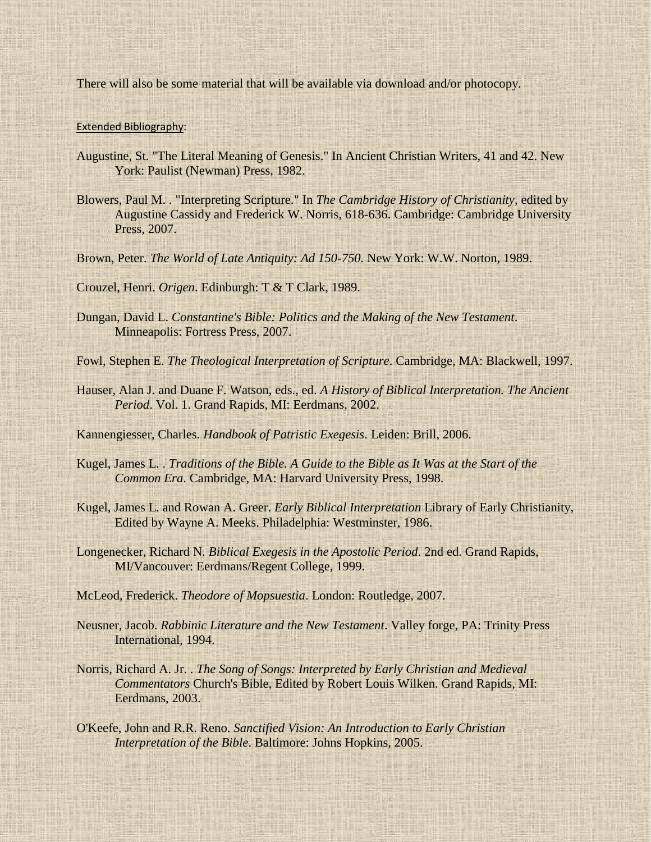There will also be some material that will be available via download and/or photocopy.

## Extended Bibliography:

- Augustine, St. "The Literal Meaning of Genesis." In Ancient Christian Writers, 41 and 42. New York: Paulist (Newman) Press, 1982.
- Blowers, Paul M. . "Interpreting Scripture." In *The Cambridge History of Christianity*, edited by Augustine Cassidy and Frederick W. Norris, 618-636. Cambridge: Cambridge University Press, 2007.
- Brown, Peter. *The World of Late Antiquity: Ad 150-750.* New York: W.W. Norton, 1989.

Crouzel, Henri. *Origen*. Edinburgh: T & T Clark, 1989.

- Dungan, David L. *Constantine's Bible: Politics and the Making of the New Testament*. Minneapolis: Fortress Press, 2007.
- Fowl, Stephen E. *The Theological Interpretation of Scripture*. Cambridge, MA: Blackwell, 1997.
- Hauser, Alan J. and Duane F. Watson, eds., ed. *A History of Biblical Interpretation. The Ancient Period*. Vol. 1. Grand Rapids, MI: Eerdmans, 2002.

Kannengiesser, Charles. *Handbook of Patristic Exegesis*. Leiden: Brill, 2006.

- Kugel, James L. . *Traditions of the Bible. A Guide to the Bible as It Was at the Start of the Common Era*. Cambridge, MA: Harvard University Press, 1998.
- Kugel, James L. and Rowan A. Greer. *Early Biblical Interpretation* Library of Early Christianity, Edited by Wayne A. Meeks. Philadelphia: Westminster, 1986.
- Longenecker, Richard N. *Biblical Exegesis in the Apostolic Period*. 2nd ed. Grand Rapids, MI/Vancouver: Eerdmans/Regent College, 1999.

McLeod, Frederick. *Theodore of Mopsuestia*. London: Routledge, 2007.

- Neusner, Jacob. *Rabbinic Literature and the New Testament*. Valley forge, PA: Trinity Press International, 1994.
- Norris, Richard A. Jr. . *The Song of Songs: Interpreted by Early Christian and Medieval Commentators* Church's Bible, Edited by Robert Louis Wilken. Grand Rapids, MI: Eerdmans, 2003.
- O'Keefe, John and R.R. Reno. *Sanctified Vision: An Introduction to Early Christian Interpretation of the Bible*. Baltimore: Johns Hopkins, 2005.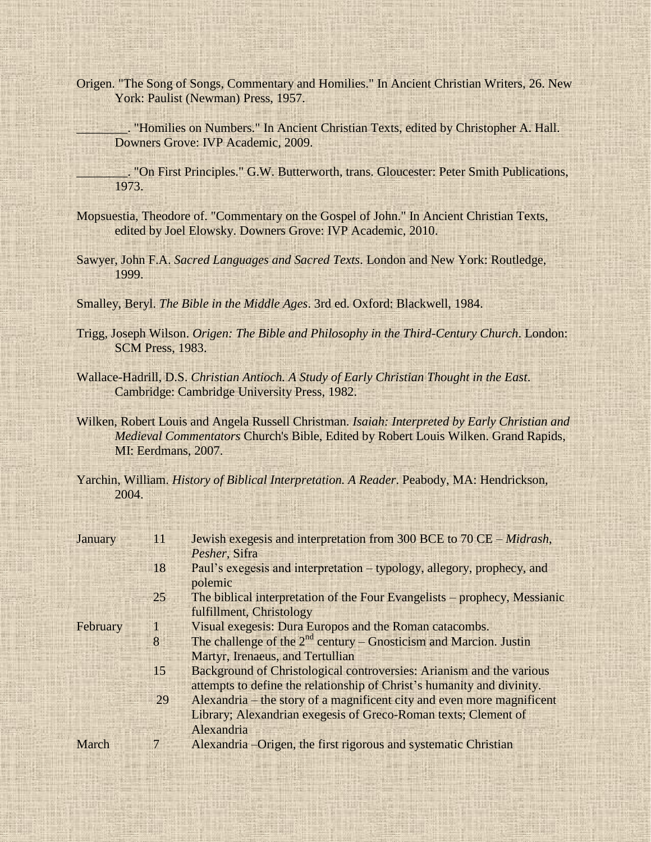Origen. "The Song of Songs, Commentary and Homilies." In Ancient Christian Writers, 26. New York: Paulist (Newman) Press, 1957.

\_\_\_\_\_\_\_\_. "Homilies on Numbers." In Ancient Christian Texts, edited by Christopher A. Hall. Downers Grove: IVP Academic, 2009.

\_\_\_\_\_\_\_\_. "On First Principles." G.W. Butterworth, trans. Gloucester: Peter Smith Publications, 1973.

- Mopsuestia, Theodore of. "Commentary on the Gospel of John." In Ancient Christian Texts, edited by Joel Elowsky. Downers Grove: IVP Academic, 2010.
- Sawyer, John F.A. *Sacred Languages and Sacred Texts*. London and New York: Routledge, 1999.

Smalley, Beryl. *The Bible in the Middle Ages*. 3rd ed. Oxford: Blackwell, 1984.

- Trigg, Joseph Wilson. *Origen: The Bible and Philosophy in the Third-Century Church*. London: SCM Press, 1983.
- Wallace-Hadrill, D.S. *Christian Antioch. A Study of Early Christian Thought in the East*. Cambridge: Cambridge University Press, 1982.
- Wilken, Robert Louis and Angela Russell Christman. *Isaiah: Interpreted by Early Christian and Medieval Commentators* Church's Bible, Edited by Robert Louis Wilken. Grand Rapids, MI: Eerdmans, 2007.
- Yarchin, William. *History of Biblical Interpretation. A Reader*. Peabody, MA: Hendrickson, 2004.

| January  | 11             | Jewish exegesis and interpretation from 300 BCE to 70 CE – Midrash,       |
|----------|----------------|---------------------------------------------------------------------------|
|          |                | Pesher, Sifra                                                             |
|          | 18             | Paul's exegesis and interpretation – typology, allegory, prophecy, and    |
|          |                | polemic                                                                   |
|          | 25             | The biblical interpretation of the Four Evangelists – prophecy, Messianic |
|          |                | fulfillment, Christology                                                  |
| February | 1              | Visual exegesis: Dura Europos and the Roman catacombs.                    |
|          | 8              | The challenge of the $2^{nd}$ century – Gnosticism and Marcion. Justin    |
|          |                | Martyr, Irenaeus, and Tertullian                                          |
|          | 15             | Background of Christological controversies: Arianism and the various      |
|          |                | attempts to define the relationship of Christ's humanity and divinity.    |
|          | 29             | Alexandria – the story of a magnificent city and even more magnificent    |
|          |                | Library; Alexandrian exegesis of Greco-Roman texts; Clement of            |
|          |                | Alexandria                                                                |
| March    | $\overline{7}$ | Alexandria – Origen, the first rigorous and systematic Christian          |